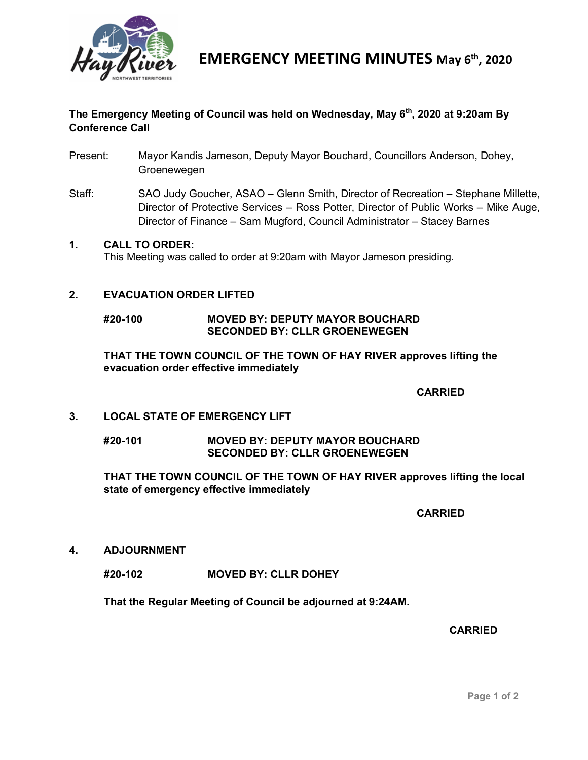

**EMERGENCY MEETING MINUTES May 6th, 2020**

# **The Emergency Meeting of Council was held on Wednesday, May 6th, 2020 at 9:20am By Conference Call**

- Present: Mayor Kandis Jameson, Deputy Mayor Bouchard, Councillors Anderson, Dohey, **Groenewegen**
- Staff: SAO Judy Goucher, ASAO Glenn Smith, Director of Recreation Stephane Millette, Director of Protective Services – Ross Potter, Director of Public Works – Mike Auge, Director of Finance – Sam Mugford, Council Administrator – Stacey Barnes

#### **1. CALL TO ORDER:**

This Meeting was called to order at 9:20am with Mayor Jameson presiding.

## **2. EVACUATION ORDER LIFTED**

**#20-100 MOVED BY: DEPUTY MAYOR BOUCHARD SECONDED BY: CLLR GROENEWEGEN**

**THAT THE TOWN COUNCIL OF THE TOWN OF HAY RIVER approves lifting the evacuation order effective immediately**

## **CARRIED**

#### **3. LOCAL STATE OF EMERGENCY LIFT**

#### **#20-101 MOVED BY: DEPUTY MAYOR BOUCHARD SECONDED BY: CLLR GROENEWEGEN**

**THAT THE TOWN COUNCIL OF THE TOWN OF HAY RIVER approves lifting the local state of emergency effective immediately**

**CARRIED**

**4. ADJOURNMENT** 

**#20-102 MOVED BY: CLLR DOHEY**

**That the Regular Meeting of Council be adjourned at 9:24AM.**

#### **CARRIED**